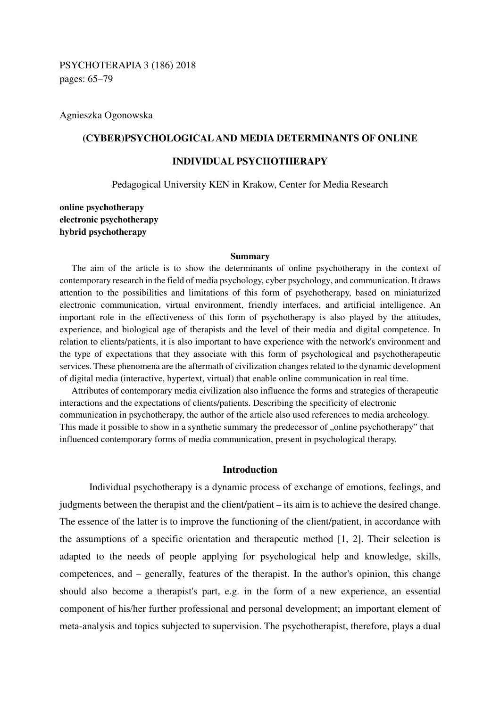Agnieszka Ogonowska

# **(CYBER)PSYCHOLOGICAL AND MEDIA DETERMINANTS OF ONLINE**

## **INDIVIDUAL PSYCHOTHERAPY**

Pedagogical University KEN in Krakow, Center for Media Research

**online psychotherapy electronic psychotherapy hybrid psychotherapy** 

### **Summary**

The aim of the article is to show the determinants of online psychotherapy in the context of contemporary research in the field of media psychology, cyber psychology, and communication. It draws attention to the possibilities and limitations of this form of psychotherapy, based on miniaturized electronic communication, virtual environment, friendly interfaces, and artificial intelligence. An important role in the effectiveness of this form of psychotherapy is also played by the attitudes, experience, and biological age of therapists and the level of their media and digital competence. In relation to clients/patients, it is also important to have experience with the network's environment and the type of expectations that they associate with this form of psychological and psychotherapeutic services. These phenomena are the aftermath of civilization changes related to the dynamic development of digital media (interactive, hypertext, virtual) that enable online communication in real time.

Attributes of contemporary media civilization also influence the forms and strategies of therapeutic interactions and the expectations of clients/patients. Describing the specificity of electronic communication in psychotherapy, the author of the article also used references to media archeology. This made it possible to show in a synthetic summary the predecessor of "online psychotherapy" that influenced contemporary forms of media communication, present in psychological therapy.

### **Introduction**

Individual psychotherapy is a dynamic process of exchange of emotions, feelings, and judgments between the therapist and the client/patient – its aim is to achieve the desired change. The essence of the latter is to improve the functioning of the client/patient, in accordance with the assumptions of a specific orientation and therapeutic method [1, 2]. Their selection is adapted to the needs of people applying for psychological help and knowledge, skills, competences, and – generally, features of the therapist. In the author's opinion, this change should also become a therapist's part, e.g. in the form of a new experience, an essential component of his/her further professional and personal development; an important element of meta-analysis and topics subjected to supervision. The psychotherapist, therefore, plays a dual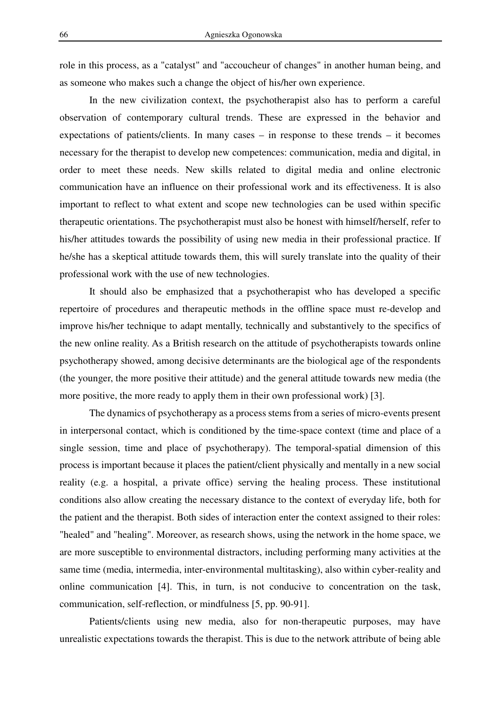role in this process, as a "catalyst" and "accoucheur of changes" in another human being, and as someone who makes such a change the object of his/her own experience.

In the new civilization context, the psychotherapist also has to perform a careful observation of contemporary cultural trends. These are expressed in the behavior and expectations of patients/clients. In many cases – in response to these trends – it becomes necessary for the therapist to develop new competences: communication, media and digital, in order to meet these needs. New skills related to digital media and online electronic communication have an influence on their professional work and its effectiveness. It is also important to reflect to what extent and scope new technologies can be used within specific therapeutic orientations. The psychotherapist must also be honest with himself/herself, refer to his/her attitudes towards the possibility of using new media in their professional practice. If he/she has a skeptical attitude towards them, this will surely translate into the quality of their professional work with the use of new technologies.

It should also be emphasized that a psychotherapist who has developed a specific repertoire of procedures and therapeutic methods in the offline space must re-develop and improve his/her technique to adapt mentally, technically and substantively to the specifics of the new online reality. As a British research on the attitude of psychotherapists towards online psychotherapy showed, among decisive determinants are the biological age of the respondents (the younger, the more positive their attitude) and the general attitude towards new media (the more positive, the more ready to apply them in their own professional work) [3].

The dynamics of psychotherapy as a process stems from a series of micro-events present in interpersonal contact, which is conditioned by the time-space context (time and place of a single session, time and place of psychotherapy). The temporal-spatial dimension of this process is important because it places the patient/client physically and mentally in a new social reality (e.g. a hospital, a private office) serving the healing process. These institutional conditions also allow creating the necessary distance to the context of everyday life, both for the patient and the therapist. Both sides of interaction enter the context assigned to their roles: "healed" and "healing". Moreover, as research shows, using the network in the home space, we are more susceptible to environmental distractors, including performing many activities at the same time (media, intermedia, inter-environmental multitasking), also within cyber-reality and online communication [4]. This, in turn, is not conducive to concentration on the task, communication, self-reflection, or mindfulness [5, pp. 90-91].

Patients/clients using new media, also for non-therapeutic purposes, may have unrealistic expectations towards the therapist. This is due to the network attribute of being able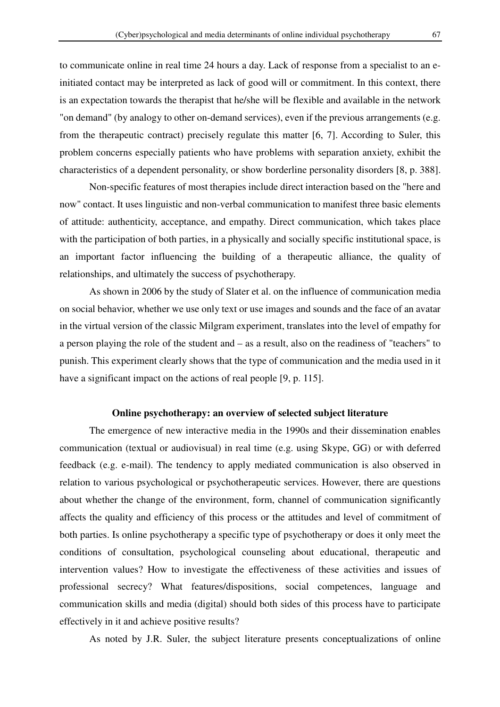to communicate online in real time 24 hours a day. Lack of response from a specialist to an einitiated contact may be interpreted as lack of good will or commitment. In this context, there is an expectation towards the therapist that he/she will be flexible and available in the network "on demand" (by analogy to other on-demand services), even if the previous arrangements (e.g. from the therapeutic contract) precisely regulate this matter [6, 7]. According to Suler, this problem concerns especially patients who have problems with separation anxiety, exhibit the characteristics of a dependent personality, or show borderline personality disorders [8, p. 388].

 Non-specific features of most therapies include direct interaction based on the "here and now" contact. It uses linguistic and non-verbal communication to manifest three basic elements of attitude: authenticity, acceptance, and empathy. Direct communication, which takes place with the participation of both parties, in a physically and socially specific institutional space, is an important factor influencing the building of a therapeutic alliance, the quality of relationships, and ultimately the success of psychotherapy.

 As shown in 2006 by the study of Slater et al. on the influence of communication media on social behavior, whether we use only text or use images and sounds and the face of an avatar in the virtual version of the classic Milgram experiment, translates into the level of empathy for a person playing the role of the student and – as a result, also on the readiness of "teachers" to punish. This experiment clearly shows that the type of communication and the media used in it have a significant impact on the actions of real people [9, p. 115].

### **Online psychotherapy: an overview of selected subject literature**

The emergence of new interactive media in the 1990s and their dissemination enables communication (textual or audiovisual) in real time (e.g. using Skype, GG) or with deferred feedback (e.g. e-mail). The tendency to apply mediated communication is also observed in relation to various psychological or psychotherapeutic services. However, there are questions about whether the change of the environment, form, channel of communication significantly affects the quality and efficiency of this process or the attitudes and level of commitment of both parties. Is online psychotherapy a specific type of psychotherapy or does it only meet the conditions of consultation, psychological counseling about educational, therapeutic and intervention values? How to investigate the effectiveness of these activities and issues of professional secrecy? What features/dispositions, social competences, language and communication skills and media (digital) should both sides of this process have to participate effectively in it and achieve positive results?

As noted by J.R. Suler, the subject literature presents conceptualizations of online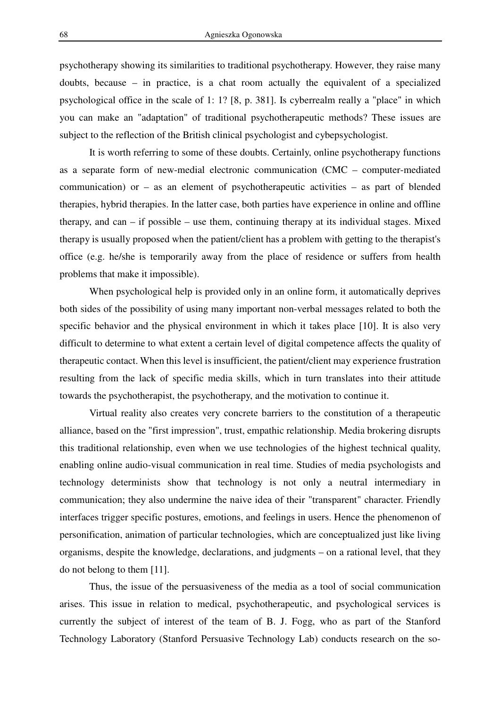psychotherapy showing its similarities to traditional psychotherapy. However, they raise many doubts, because – in practice, is a chat room actually the equivalent of a specialized psychological office in the scale of 1: 1? [8, p. 381]. Is cyberrealm really a "place" in which you can make an "adaptation" of traditional psychotherapeutic methods? These issues are subject to the reflection of the British clinical psychologist and cybepsychologist.

It is worth referring to some of these doubts. Certainly, online psychotherapy functions as a separate form of new-medial electronic communication (CMC – computer-mediated communication) or – as an element of psychotherapeutic activities – as part of blended therapies, hybrid therapies. In the latter case, both parties have experience in online and offline therapy, and can – if possible – use them, continuing therapy at its individual stages. Mixed therapy is usually proposed when the patient/client has a problem with getting to the therapist's office (e.g. he/she is temporarily away from the place of residence or suffers from health problems that make it impossible).

When psychological help is provided only in an online form, it automatically deprives both sides of the possibility of using many important non-verbal messages related to both the specific behavior and the physical environment in which it takes place [10]. It is also very difficult to determine to what extent a certain level of digital competence affects the quality of therapeutic contact. When this level is insufficient, the patient/client may experience frustration resulting from the lack of specific media skills, which in turn translates into their attitude towards the psychotherapist, the psychotherapy, and the motivation to continue it.

Virtual reality also creates very concrete barriers to the constitution of a therapeutic alliance, based on the "first impression", trust, empathic relationship. Media brokering disrupts this traditional relationship, even when we use technologies of the highest technical quality, enabling online audio-visual communication in real time. Studies of media psychologists and technology determinists show that technology is not only a neutral intermediary in communication; they also undermine the naive idea of their "transparent" character. Friendly interfaces trigger specific postures, emotions, and feelings in users. Hence the phenomenon of personification, animation of particular technologies, which are conceptualized just like living organisms, despite the knowledge, declarations, and judgments – on a rational level, that they do not belong to them [11].

Thus, the issue of the persuasiveness of the media as a tool of social communication arises. This issue in relation to medical, psychotherapeutic, and psychological services is currently the subject of interest of the team of B. J. Fogg, who as part of the Stanford Technology Laboratory (Stanford Persuasive Technology Lab) conducts research on the so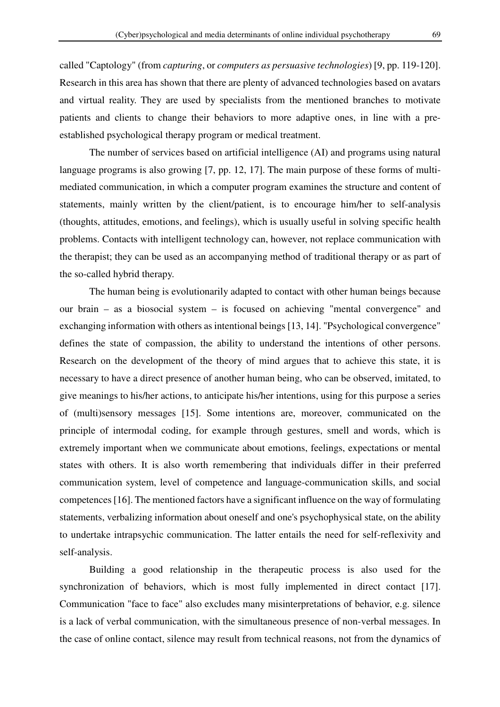called "Captology" (from *capturing*, or *computers as persuasive technologies*) [9, pp. 119-120]. Research in this area has shown that there are plenty of advanced technologies based on avatars and virtual reality. They are used by specialists from the mentioned branches to motivate patients and clients to change their behaviors to more adaptive ones, in line with a preestablished psychological therapy program or medical treatment.

The number of services based on artificial intelligence (AI) and programs using natural language programs is also growing [7, pp. 12, 17]. The main purpose of these forms of multimediated communication, in which a computer program examines the structure and content of statements, mainly written by the client/patient, is to encourage him/her to self-analysis (thoughts, attitudes, emotions, and feelings), which is usually useful in solving specific health problems. Contacts with intelligent technology can, however, not replace communication with the therapist; they can be used as an accompanying method of traditional therapy or as part of the so-called hybrid therapy.

 The human being is evolutionarily adapted to contact with other human beings because our brain – as a biosocial system – is focused on achieving "mental convergence" and exchanging information with others as intentional beings [13, 14]. "Psychological convergence" defines the state of compassion, the ability to understand the intentions of other persons. Research on the development of the theory of mind argues that to achieve this state, it is necessary to have a direct presence of another human being, who can be observed, imitated, to give meanings to his/her actions, to anticipate his/her intentions, using for this purpose a series of (multi)sensory messages [15]. Some intentions are, moreover, communicated on the principle of intermodal coding, for example through gestures, smell and words, which is extremely important when we communicate about emotions, feelings, expectations or mental states with others. It is also worth remembering that individuals differ in their preferred communication system, level of competence and language-communication skills, and social competences [16]. The mentioned factors have a significant influence on the way of formulating statements, verbalizing information about oneself and one's psychophysical state, on the ability to undertake intrapsychic communication. The latter entails the need for self-reflexivity and self-analysis.

 Building a good relationship in the therapeutic process is also used for the synchronization of behaviors, which is most fully implemented in direct contact [17]. Communication "face to face" also excludes many misinterpretations of behavior, e.g. silence is a lack of verbal communication, with the simultaneous presence of non-verbal messages. In the case of online contact, silence may result from technical reasons, not from the dynamics of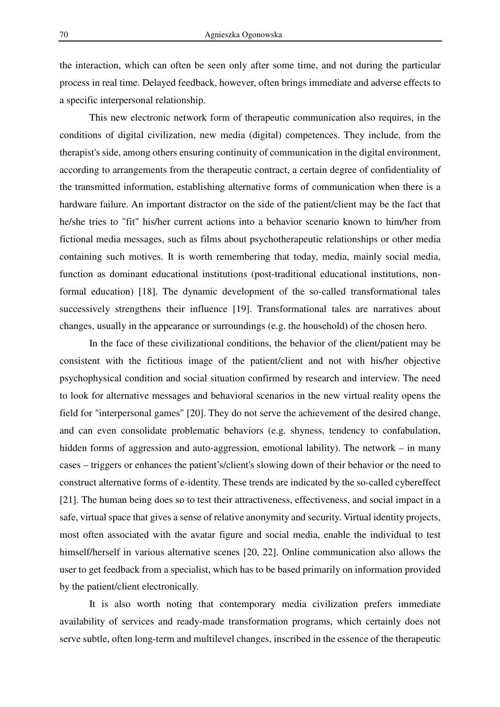the interaction, which can often be seen only after some time, and not during the particular process in real time. Delayed feedback, however, often brings immediate and adverse effects to a specific interpersonal relationship.

This new electronic network form of therapeutic communication also requires, in the conditions of digital civilization, new media (digital) competences. They include, from the therapist's side, among others ensuring continuity of communication in the digital environment, according to arrangements from the therapeutic contract, a certain degree of confidentiality of the transmitted information, establishing alternative forms of communication when there is a hardware failure. An important distractor on the side of the patient/client may be the fact that he/she tries to "fit" his/her current actions into a behavior scenario known to him/her from fictional media messages, such as films about psychotherapeutic relationships or other media containing such motives. It is worth remembering that today, media, mainly social media, function as dominant educational institutions (post-traditional educational institutions, nonformal education) [18]. The dynamic development of the so-called transformational tales successively strengthens their influence [19]. Transformational tales are narratives about changes, usually in the appearance or surroundings (e.g. the household) of the chosen hero.

 In the face of these civilizational conditions, the behavior of the client/patient may be consistent with the fictitious image of the patient/client and not with his/her objective psychophysical condition and social situation confirmed by research and interview. The need to look for alternative messages and behavioral scenarios in the new virtual reality opens the field for "interpersonal games" [20]. They do not serve the achievement of the desired change, and can even consolidate problematic behaviors (e.g. shyness, tendency to confabulation, hidden forms of aggression and auto-aggression, emotional lability). The network – in many cases – triggers or enhances the patient's/client's slowing down of their behavior or the need to construct alternative forms of e-identity. These trends are indicated by the so-called cybereffect [21]. The human being does so to test their attractiveness, effectiveness, and social impact in a safe, virtual space that gives a sense of relative anonymity and security. Virtual identity projects, most often associated with the avatar figure and social media, enable the individual to test himself/herself in various alternative scenes [20, 22]. Online communication also allows the user to get feedback from a specialist, which has to be based primarily on information provided by the patient/client electronically.

 It is also worth noting that contemporary media civilization prefers immediate availability of services and ready-made transformation programs, which certainly does not serve subtle, often long-term and multilevel changes, inscribed in the essence of the therapeutic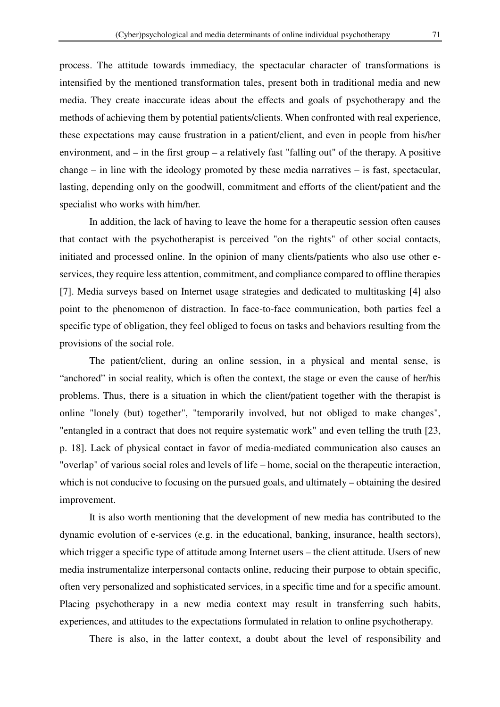process. The attitude towards immediacy, the spectacular character of transformations is intensified by the mentioned transformation tales, present both in traditional media and new media. They create inaccurate ideas about the effects and goals of psychotherapy and the methods of achieving them by potential patients/clients. When confronted with real experience, these expectations may cause frustration in a patient/client, and even in people from his/her environment, and – in the first group – a relatively fast "falling out" of the therapy. A positive change – in line with the ideology promoted by these media narratives – is fast, spectacular, lasting, depending only on the goodwill, commitment and efforts of the client/patient and the specialist who works with him/her.

In addition, the lack of having to leave the home for a therapeutic session often causes that contact with the psychotherapist is perceived "on the rights" of other social contacts, initiated and processed online. In the opinion of many clients/patients who also use other eservices, they require less attention, commitment, and compliance compared to offline therapies [7]. Media surveys based on Internet usage strategies and dedicated to multitasking [4] also point to the phenomenon of distraction. In face-to-face communication, both parties feel a specific type of obligation, they feel obliged to focus on tasks and behaviors resulting from the provisions of the social role.

The patient/client, during an online session, in a physical and mental sense, is "anchored" in social reality, which is often the context, the stage or even the cause of her/his problems. Thus, there is a situation in which the client/patient together with the therapist is online "lonely (but) together", "temporarily involved, but not obliged to make changes", "entangled in a contract that does not require systematic work" and even telling the truth [23, p. 18]. Lack of physical contact in favor of media-mediated communication also causes an "overlap" of various social roles and levels of life – home, social on the therapeutic interaction, which is not conducive to focusing on the pursued goals, and ultimately – obtaining the desired improvement.

It is also worth mentioning that the development of new media has contributed to the dynamic evolution of e-services (e.g. in the educational, banking, insurance, health sectors), which trigger a specific type of attitude among Internet users – the client attitude. Users of new media instrumentalize interpersonal contacts online, reducing their purpose to obtain specific, often very personalized and sophisticated services, in a specific time and for a specific amount. Placing psychotherapy in a new media context may result in transferring such habits, experiences, and attitudes to the expectations formulated in relation to online psychotherapy.

There is also, in the latter context, a doubt about the level of responsibility and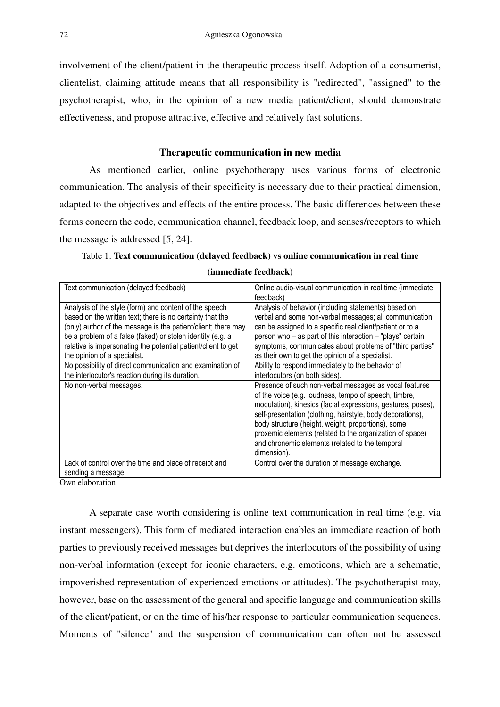involvement of the client/patient in the therapeutic process itself. Adoption of a consumerist, clientelist, claiming attitude means that all responsibility is "redirected", "assigned" to the psychotherapist, who, in the opinion of a new media patient/client, should demonstrate effectiveness, and propose attractive, effective and relatively fast solutions.

# **Therapeutic communication in new media**

As mentioned earlier, online psychotherapy uses various forms of electronic communication. The analysis of their specificity is necessary due to their practical dimension, adapted to the objectives and effects of the entire process. The basic differences between these forms concern the code, communication channel, feedback loop, and senses/receptors to which the message is addressed [5, 24].

| Text communication (delayed feedback)                         | Online audio-visual communication in real time (immediate    |
|---------------------------------------------------------------|--------------------------------------------------------------|
|                                                               | feedback)                                                    |
| Analysis of the style (form) and content of the speech        | Analysis of behavior (including statements) based on         |
| based on the written text; there is no certainty that the     | verbal and some non-verbal messages; all communication       |
| (only) author of the message is the patient/client; there may | can be assigned to a specific real client/patient or to a    |
| be a problem of a false (faked) or stolen identity (e.g. a    | person who - as part of this interaction - "plays" certain   |
| relative is impersonating the potential patient/client to get | symptoms, communicates about problems of "third parties"     |
| the opinion of a specialist.                                  | as their own to get the opinion of a specialist.             |
| No possibility of direct communication and examination of     | Ability to respond immediately to the behavior of            |
| the interlocutor's reaction during its duration.              | interlocutors (on both sides).                               |
| No non-verbal messages.                                       | Presence of such non-verbal messages as vocal features       |
|                                                               | of the voice (e.g. loudness, tempo of speech, timbre,        |
|                                                               | modulation), kinesics (facial expressions, gestures, poses), |
|                                                               | self-presentation (clothing, hairstyle, body decorations),   |
|                                                               | body structure (height, weight, proportions), some           |
|                                                               | proxemic elements (related to the organization of space)     |
|                                                               | and chronemic elements (related to the temporal              |
|                                                               | dimension).                                                  |
| Lack of control over the time and place of receipt and        | Control over the duration of message exchange.               |
| sending a message.                                            |                                                              |
|                                                               |                                                              |

|  |  | Table 1. Text communication (delayed feedback) vs online communication in real time |  |  |  |  |  |
|--|--|-------------------------------------------------------------------------------------|--|--|--|--|--|
|--|--|-------------------------------------------------------------------------------------|--|--|--|--|--|

**(immediate feedback)** 

Own elaboration

A separate case worth considering is online text communication in real time (e.g. via instant messengers). This form of mediated interaction enables an immediate reaction of both parties to previously received messages but deprives the interlocutors of the possibility of using non-verbal information (except for iconic characters, e.g. emoticons, which are a schematic, impoverished representation of experienced emotions or attitudes). The psychotherapist may, however, base on the assessment of the general and specific language and communication skills of the client/patient, or on the time of his/her response to particular communication sequences. Moments of "silence" and the suspension of communication can often not be assessed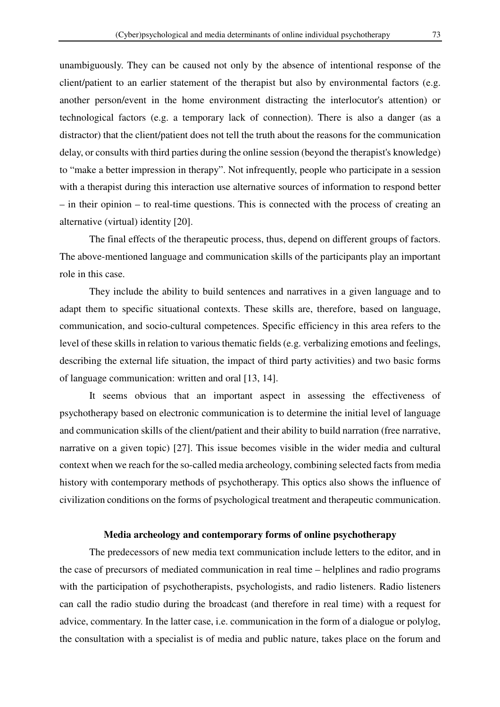unambiguously. They can be caused not only by the absence of intentional response of the client/patient to an earlier statement of the therapist but also by environmental factors (e.g. another person/event in the home environment distracting the interlocutor's attention) or technological factors (e.g. a temporary lack of connection). There is also a danger (as a distractor) that the client/patient does not tell the truth about the reasons for the communication delay, or consults with third parties during the online session (beyond the therapist's knowledge) to "make a better impression in therapy". Not infrequently, people who participate in a session with a therapist during this interaction use alternative sources of information to respond better – in their opinion – to real-time questions. This is connected with the process of creating an

alternative (virtual) identity [20].

The final effects of the therapeutic process, thus, depend on different groups of factors. The above-mentioned language and communication skills of the participants play an important role in this case.

They include the ability to build sentences and narratives in a given language and to adapt them to specific situational contexts. These skills are, therefore, based on language, communication, and socio-cultural competences. Specific efficiency in this area refers to the level of these skills in relation to various thematic fields (e.g. verbalizing emotions and feelings, describing the external life situation, the impact of third party activities) and two basic forms of language communication: written and oral [13, 14].

It seems obvious that an important aspect in assessing the effectiveness of psychotherapy based on electronic communication is to determine the initial level of language and communication skills of the client/patient and their ability to build narration (free narrative, narrative on a given topic) [27]. This issue becomes visible in the wider media and cultural context when we reach for the so-called media archeology, combining selected facts from media history with contemporary methods of psychotherapy. This optics also shows the influence of civilization conditions on the forms of psychological treatment and therapeutic communication.

## **Media archeology and contemporary forms of online psychotherapy**

The predecessors of new media text communication include letters to the editor, and in the case of precursors of mediated communication in real time – helplines and radio programs with the participation of psychotherapists, psychologists, and radio listeners. Radio listeners can call the radio studio during the broadcast (and therefore in real time) with a request for advice, commentary. In the latter case, i.e. communication in the form of a dialogue or polylog, the consultation with a specialist is of media and public nature, takes place on the forum and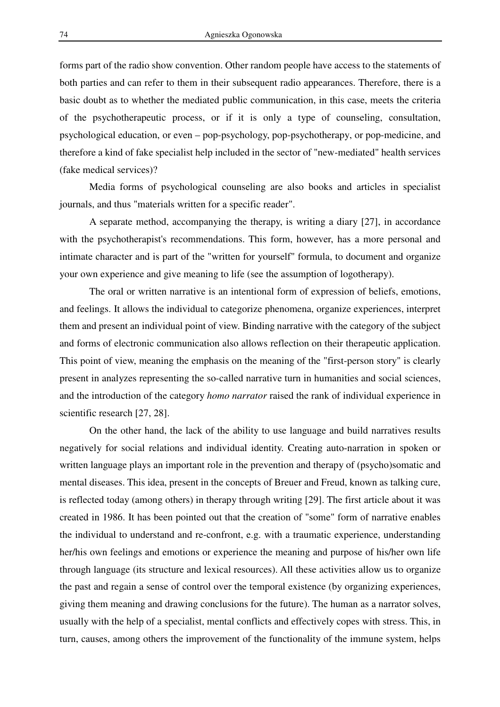forms part of the radio show convention. Other random people have access to the statements of both parties and can refer to them in their subsequent radio appearances. Therefore, there is a basic doubt as to whether the mediated public communication, in this case, meets the criteria of the psychotherapeutic process, or if it is only a type of counseling, consultation, psychological education, or even – pop-psychology, pop-psychotherapy, or pop-medicine, and therefore a kind of fake specialist help included in the sector of "new-mediated" health services (fake medical services)?

 Media forms of psychological counseling are also books and articles in specialist journals, and thus "materials written for a specific reader".

A separate method, accompanying the therapy, is writing a diary [27], in accordance with the psychotherapist's recommendations. This form, however, has a more personal and intimate character and is part of the "written for yourself" formula, to document and organize your own experience and give meaning to life (see the assumption of logotherapy).

The oral or written narrative is an intentional form of expression of beliefs, emotions, and feelings. It allows the individual to categorize phenomena, organize experiences, interpret them and present an individual point of view. Binding narrative with the category of the subject and forms of electronic communication also allows reflection on their therapeutic application. This point of view, meaning the emphasis on the meaning of the "first-person story" is clearly present in analyzes representing the so-called narrative turn in humanities and social sciences, and the introduction of the category *homo narrator* raised the rank of individual experience in scientific research [27, 28].

 On the other hand, the lack of the ability to use language and build narratives results negatively for social relations and individual identity. Creating auto-narration in spoken or written language plays an important role in the prevention and therapy of (psycho)somatic and mental diseases. This idea, present in the concepts of Breuer and Freud, known as talking cure, is reflected today (among others) in therapy through writing [29]. The first article about it was created in 1986. It has been pointed out that the creation of "some" form of narrative enables the individual to understand and re-confront, e.g. with a traumatic experience, understanding her/his own feelings and emotions or experience the meaning and purpose of his/her own life through language (its structure and lexical resources). All these activities allow us to organize the past and regain a sense of control over the temporal existence (by organizing experiences, giving them meaning and drawing conclusions for the future). The human as a narrator solves, usually with the help of a specialist, mental conflicts and effectively copes with stress. This, in turn, causes, among others the improvement of the functionality of the immune system, helps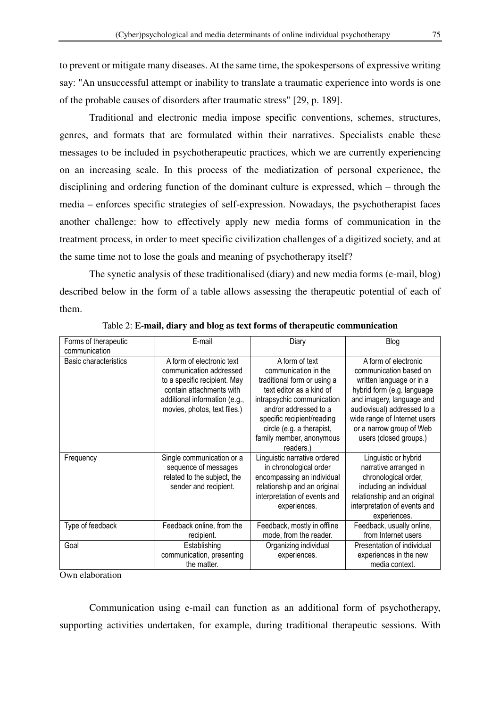to prevent or mitigate many diseases. At the same time, the spokespersons of expressive writing say: "An unsuccessful attempt or inability to translate a traumatic experience into words is one of the probable causes of disorders after traumatic stress" [29, p. 189].

 Traditional and electronic media impose specific conventions, schemes, structures, genres, and formats that are formulated within their narratives. Specialists enable these messages to be included in psychotherapeutic practices, which we are currently experiencing on an increasing scale. In this process of the mediatization of personal experience, the disciplining and ordering function of the dominant culture is expressed, which – through the media – enforces specific strategies of self-expression. Nowadays, the psychotherapist faces another challenge: how to effectively apply new media forms of communication in the treatment process, in order to meet specific civilization challenges of a digitized society, and at the same time not to lose the goals and meaning of psychotherapy itself?

The synetic analysis of these traditionalised (diary) and new media forms (e-mail, blog) described below in the form of a table allows assessing the therapeutic potential of each of them.

| Forms of therapeutic  | E-mail                        | Diary                        | Blog                         |
|-----------------------|-------------------------------|------------------------------|------------------------------|
| communication         |                               |                              |                              |
| Basic characteristics | A form of electronic text     | A form of text               | A form of electronic         |
|                       | communication addressed       | communication in the         | communication based on       |
|                       | to a specific recipient. May  | traditional form or using a  | written language or in a     |
|                       | contain attachments with      | text editor as a kind of     | hybrid form (e.g. language   |
|                       | additional information (e.g., | intrapsychic communication   | and imagery, language and    |
|                       | movies, photos, text files.)  | and/or addressed to a        | audiovisual) addressed to a  |
|                       |                               | specific recipient/reading   | wide range of Internet users |
|                       |                               | circle (e.g. a therapist,    | or a narrow group of Web     |
|                       |                               | family member, anonymous     | users (closed groups.)       |
|                       |                               | readers.)                    |                              |
| Frequency             | Single communication or a     | Linguistic narrative ordered | Linguistic or hybrid         |
|                       | sequence of messages          | in chronological order       | narrative arranged in        |
|                       | related to the subject, the   | encompassing an individual   | chronological order,         |
|                       | sender and recipient.         | relationship and an original | including an individual      |
|                       |                               | interpretation of events and | relationship and an original |
|                       |                               | experiences.                 | interpretation of events and |
|                       |                               |                              | experiences.                 |
| Type of feedback      | Feedback online, from the     | Feedback, mostly in offline  | Feedback, usually online,    |
|                       | recipient.                    | mode, from the reader.       | from Internet users          |
| Goal                  | Establishing                  | Organizing individual        | Presentation of individual   |
|                       | communication, presenting     | experiences.                 | experiences in the new       |
|                       | the matter.                   |                              | media context.               |

Table 2: **E-mail, diary and blog as text forms of therapeutic communication** 

Own elaboration

Communication using e-mail can function as an additional form of psychotherapy, supporting activities undertaken, for example, during traditional therapeutic sessions. With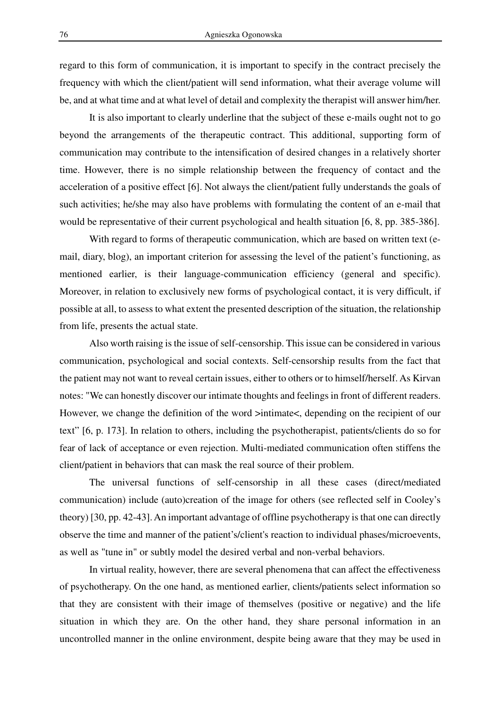regard to this form of communication, it is important to specify in the contract precisely the frequency with which the client/patient will send information, what their average volume will be, and at what time and at what level of detail and complexity the therapist will answer him/her.

It is also important to clearly underline that the subject of these e-mails ought not to go beyond the arrangements of the therapeutic contract. This additional, supporting form of communication may contribute to the intensification of desired changes in a relatively shorter time. However, there is no simple relationship between the frequency of contact and the acceleration of a positive effect [6]. Not always the client/patient fully understands the goals of such activities; he/she may also have problems with formulating the content of an e-mail that would be representative of their current psychological and health situation [6, 8, pp. 385-386].

With regard to forms of therapeutic communication, which are based on written text (email, diary, blog), an important criterion for assessing the level of the patient's functioning, as mentioned earlier, is their language-communication efficiency (general and specific). Moreover, in relation to exclusively new forms of psychological contact, it is very difficult, if possible at all, to assess to what extent the presented description of the situation, the relationship from life, presents the actual state.

 Also worth raising is the issue of self-censorship. This issue can be considered in various communication, psychological and social contexts. Self-censorship results from the fact that the patient may not want to reveal certain issues, either to others or to himself/herself. As Kirvan notes: "We can honestly discover our intimate thoughts and feelings in front of different readers. However, we change the definition of the word >intimate<, depending on the recipient of our text" [6, p. 173]. In relation to others, including the psychotherapist, patients/clients do so for fear of lack of acceptance or even rejection. Multi-mediated communication often stiffens the client/patient in behaviors that can mask the real source of their problem.

The universal functions of self-censorship in all these cases (direct/mediated communication) include (auto)creation of the image for others (see reflected self in Cooley's theory) [30, pp. 42-43]. An important advantage of offline psychotherapy is that one can directly observe the time and manner of the patient's/client's reaction to individual phases/microevents, as well as "tune in" or subtly model the desired verbal and non-verbal behaviors.

In virtual reality, however, there are several phenomena that can affect the effectiveness of psychotherapy. On the one hand, as mentioned earlier, clients/patients select information so that they are consistent with their image of themselves (positive or negative) and the life situation in which they are. On the other hand, they share personal information in an uncontrolled manner in the online environment, despite being aware that they may be used in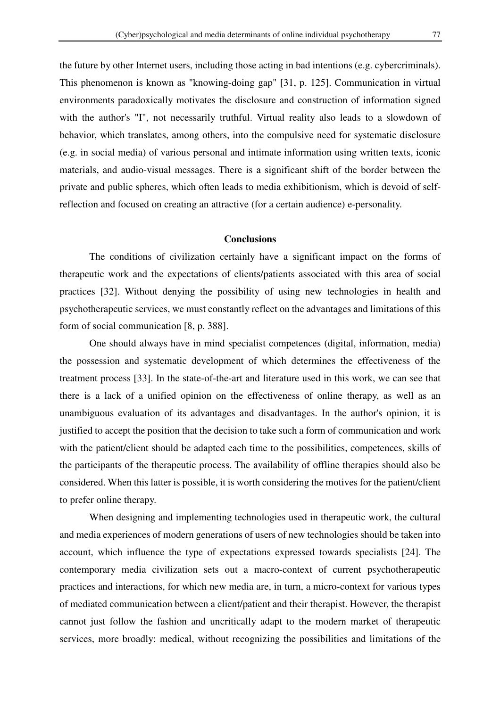the future by other Internet users, including those acting in bad intentions (e.g. cybercriminals). This phenomenon is known as "knowing-doing gap" [31, p. 125]. Communication in virtual environments paradoxically motivates the disclosure and construction of information signed with the author's "I", not necessarily truthful. Virtual reality also leads to a slowdown of behavior, which translates, among others, into the compulsive need for systematic disclosure (e.g. in social media) of various personal and intimate information using written texts, iconic materials, and audio-visual messages. There is a significant shift of the border between the private and public spheres, which often leads to media exhibitionism, which is devoid of selfreflection and focused on creating an attractive (for a certain audience) e-personality.

# **Conclusions**

The conditions of civilization certainly have a significant impact on the forms of therapeutic work and the expectations of clients/patients associated with this area of social practices [32]. Without denying the possibility of using new technologies in health and psychotherapeutic services, we must constantly reflect on the advantages and limitations of this form of social communication [8, p. 388].

One should always have in mind specialist competences (digital, information, media) the possession and systematic development of which determines the effectiveness of the treatment process [33]. In the state-of-the-art and literature used in this work, we can see that there is a lack of a unified opinion on the effectiveness of online therapy, as well as an unambiguous evaluation of its advantages and disadvantages. In the author's opinion, it is justified to accept the position that the decision to take such a form of communication and work with the patient/client should be adapted each time to the possibilities, competences, skills of the participants of the therapeutic process. The availability of offline therapies should also be considered. When this latter is possible, it is worth considering the motives for the patient/client to prefer online therapy.

When designing and implementing technologies used in therapeutic work, the cultural and media experiences of modern generations of users of new technologies should be taken into account, which influence the type of expectations expressed towards specialists [24]. The contemporary media civilization sets out a macro-context of current psychotherapeutic practices and interactions, for which new media are, in turn, a micro-context for various types of mediated communication between a client/patient and their therapist. However, the therapist cannot just follow the fashion and uncritically adapt to the modern market of therapeutic services, more broadly: medical, without recognizing the possibilities and limitations of the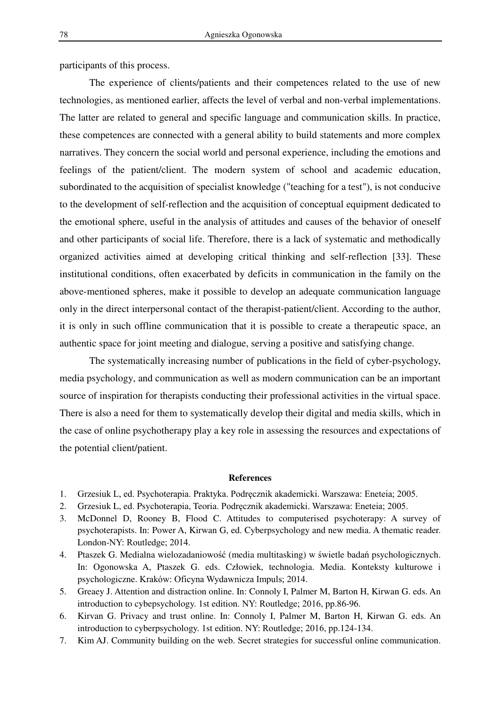participants of this process.

The experience of clients/patients and their competences related to the use of new technologies, as mentioned earlier, affects the level of verbal and non-verbal implementations. The latter are related to general and specific language and communication skills. In practice, these competences are connected with a general ability to build statements and more complex narratives. They concern the social world and personal experience, including the emotions and feelings of the patient/client. The modern system of school and academic education, subordinated to the acquisition of specialist knowledge ("teaching for a test"), is not conducive to the development of self-reflection and the acquisition of conceptual equipment dedicated to the emotional sphere, useful in the analysis of attitudes and causes of the behavior of oneself and other participants of social life. Therefore, there is a lack of systematic and methodically organized activities aimed at developing critical thinking and self-reflection [33]. These institutional conditions, often exacerbated by deficits in communication in the family on the above-mentioned spheres, make it possible to develop an adequate communication language only in the direct interpersonal contact of the therapist-patient/client. According to the author, it is only in such offline communication that it is possible to create a therapeutic space, an authentic space for joint meeting and dialogue, serving a positive and satisfying change.

The systematically increasing number of publications in the field of cyber-psychology, media psychology, and communication as well as modern communication can be an important source of inspiration for therapists conducting their professional activities in the virtual space. There is also a need for them to systematically develop their digital and media skills, which in the case of online psychotherapy play a key role in assessing the resources and expectations of the potential client/patient.

#### **References**

- 1. Grzesiuk L, ed. Psychoterapia. Praktyka. Podręcznik akademicki. Warszawa: Eneteia; 2005.
- 2. Grzesiuk L, ed. Psychoterapia, Teoria. Podręcznik akademicki. Warszawa: Eneteia; 2005.
- 3. McDonnel D, Rooney B, Flood C. Attitudes to computerised psychoterapy: A survey of psychoterapists. In: Power A, Kirwan G, ed. Cyberpsychology and new media. A thematic reader. London-NY: Routledge; 2014.
- 4. Ptaszek G. Medialna wielozadaniowość (media multitasking) w świetle badań psychologicznych. In: Ogonowska A, Ptaszek G. eds. Człowiek, technologia. Media. Konteksty kulturowe i psychologiczne. Kraków: Oficyna Wydawnicza Impuls; 2014.
- 5. Greaey J. Attention and distraction online. In: Connoly I, Palmer M, Barton H, Kirwan G. eds. An introduction to cybepsychology. 1st edition. NY: Routledge; 2016, pp.86-96.
- 6. Kirvan G. Privacy and trust online. In: Connoly I, Palmer M, Barton H, Kirwan G. eds. An introduction to cyberpsychology. 1st edition. NY: Routledge; 2016, pp.124-134.
- 7. Kim AJ. Community building on the web. Secret strategies for successful online communication.